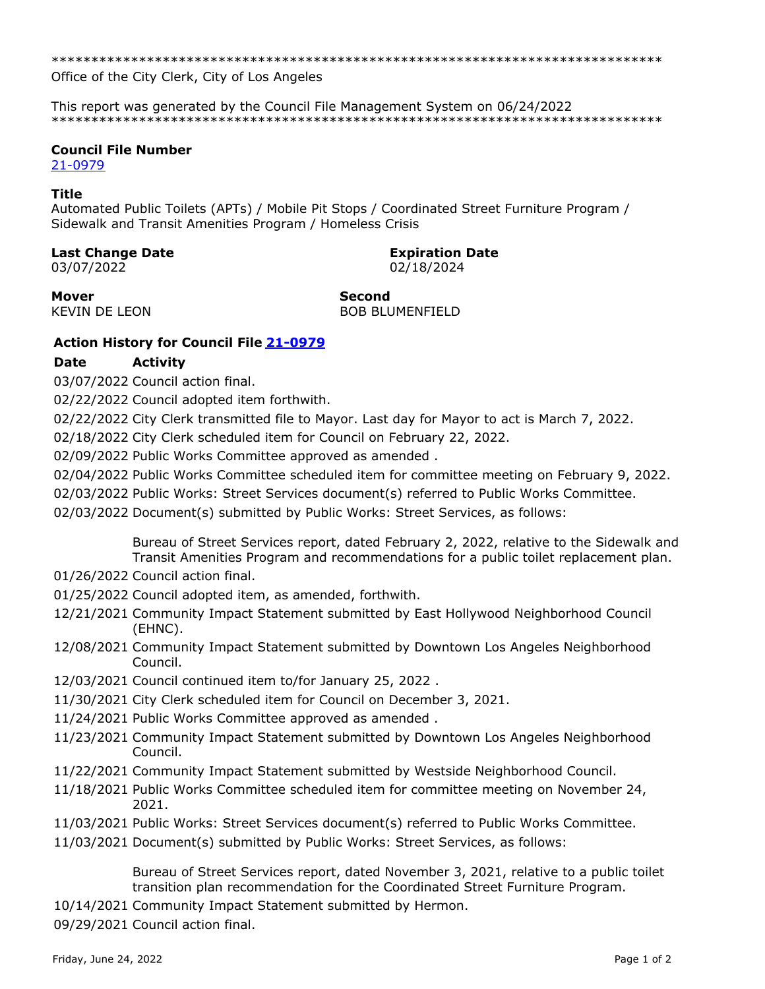Office of the City Clerk, City of Los Angeles

This report was generated by the Council File Management System on 06/24/2022 

## **Council File Number**

21-0979

## **Title**

Automated Public Toilets (APTs) / Mobile Pit Stops / Coordinated Street Furniture Program / Sidewalk and Transit Amenities Program / Homeless Crisis

### **Last Change Date**

03/07/2022

# **Expiration Date**

02/18/2024

**Mover KEVIN DE LEON**  **Second BOB BLUMENFIELD** 

## **Action History for Council File 21-0979**

#### **Date Activity**

03/07/2022 Council action final.

02/22/2022 Council adopted item forthwith.

02/22/2022 City Clerk transmitted file to Mayor. Last day for Mayor to act is March 7, 2022.

02/18/2022 City Clerk scheduled item for Council on February 22, 2022.

02/09/2022 Public Works Committee approved as amended.

02/04/2022 Public Works Committee scheduled item for committee meeting on February 9, 2022.

02/03/2022 Public Works: Street Services document(s) referred to Public Works Committee.

02/03/2022 Document(s) submitted by Public Works: Street Services, as follows:

Bureau of Street Services report, dated February 2, 2022, relative to the Sidewalk and Transit Amenities Program and recommendations for a public toilet replacement plan.

- 01/26/2022 Council action final.
- 01/25/2022 Council adopted item, as amended, forthwith.
- 12/21/2021 Community Impact Statement submitted by East Hollywood Neighborhood Council (EHNC).
- 12/08/2021 Community Impact Statement submitted by Downtown Los Angeles Neighborhood Council.
- 12/03/2021 Council continued item to/for January 25, 2022.
- 11/30/2021 City Clerk scheduled item for Council on December 3, 2021.
- 11/24/2021 Public Works Committee approved as amended.
- 11/23/2021 Community Impact Statement submitted by Downtown Los Angeles Neighborhood Council.
- 11/22/2021 Community Impact Statement submitted by Westside Neighborhood Council.
- 11/18/2021 Public Works Committee scheduled item for committee meeting on November 24, 2021.
- 11/03/2021 Public Works: Street Services document(s) referred to Public Works Committee.
- 11/03/2021 Document(s) submitted by Public Works: Street Services, as follows:

Bureau of Street Services report, dated November 3, 2021, relative to a public toilet transition plan recommendation for the Coordinated Street Furniture Program.

10/14/2021 Community Impact Statement submitted by Hermon.

09/29/2021 Council action final.